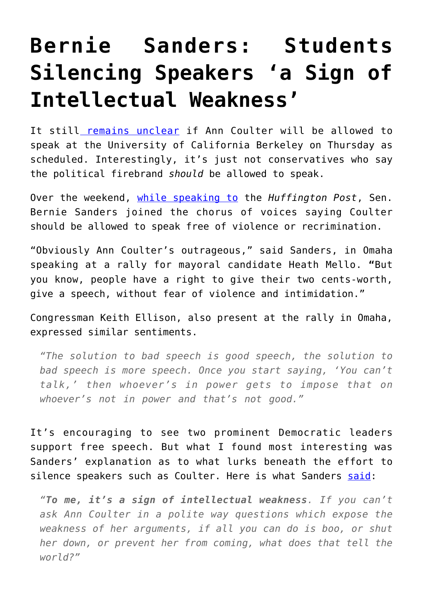## **[Bernie Sanders: Students](https://intellectualtakeout.org/2017/04/bernie-sanders-students-silencing-speakers-a-sign-of-intellectual-weakness/) [Silencing Speakers 'a Sign of](https://intellectualtakeout.org/2017/04/bernie-sanders-students-silencing-speakers-a-sign-of-intellectual-weakness/) [Intellectual Weakness'](https://intellectualtakeout.org/2017/04/bernie-sanders-students-silencing-speakers-a-sign-of-intellectual-weakness/)**

It still [remains unclear](http://abcnews.go.com/US/wireStory/uc-berkeley-students-threaten-sue-ann-coulter-visit-46961819) if Ann Coulter will be allowed to speak at the University of California Berkeley on Thursday as scheduled. Interestingly, it's just not conservatives who say the political firebrand *should* be allowed to speak.

Over the weekend, [while speaking to](http://www.huffingtonpost.com/entry/bernie-sanders-ann-coulter-berkeley_us_58fb7006e4b00fa7de14bc3d?jvm&ncid=inblnkushpmg00000009) the *Huffington Post*, Sen. Bernie Sanders joined the chorus of voices saying Coulter should be allowed to speak free of violence or recrimination.

"Obviously Ann Coulter's outrageous," said Sanders, in Omaha speaking at a rally for mayoral candidate Heath Mello. **"**But you know, people have a right to give their two cents-worth, give a speech, without fear of violence and intimidation."

Congressman Keith Ellison, also present at the rally in Omaha, expressed similar sentiments.

*"The solution to bad speech is good speech, the solution to bad speech is more speech. Once you start saying, 'You can't talk,' then whoever's in power gets to impose that on whoever's not in power and that's not good."*

It's encouraging to see two prominent Democratic leaders support free speech. But what I found most interesting was Sanders' explanation as to what lurks beneath the effort to silence speakers such as Coulter. Here is what Sanders [said](http://www.huffingtonpost.com/entry/bernie-sanders-ann-coulter-berkeley_us_58fb7006e4b00fa7de14bc3d?jvm&ncid=inblnkushpmg00000009):

*"To me, it's a sign of intellectual weakness. If you can't ask Ann Coulter in a polite way questions which expose the weakness of her arguments, if all you can do is boo, or shut her down, or prevent her from coming, what does that tell the world?"*